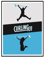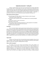# **Explanatory document – Curling 101**

Curling is a popular Olympic sport that can be associated directly to Canada. Appreciated by many people, there are unfortunately few of them who actually have the opportunity to be initiated to the sport. Only a few clubs offer proper programs for adult beginners and the existing programs generally suffer from a lack of visibility, making it difficult to incorporate the practice of curling into adults' lives. The implementation of the new universal program - Curling 101 - is guaranteed to satisfy the needs of all clubs and everyone interested in learning to curl.

### **Why should you offer the program?**

- To take advantage of the high visibility of curling on television as well as the great performance of both Canadian teams.
- To promote the sport to potential curlers and to integrate them into specially designed leagues
- To increase the number of curlers in the province
- To fill empty ice time at clubs
- 8-week initiation program specifically developed for an adult population and completely equipped with a step by step guide for the instructors.
- Retention rate above expectations

#### **Description**

This is an 8-week initiation program geared towards adults wishing to try and learn the sport of curling. The course will be run by quality instructors and will focus on learning the basics of curling in an atmosphere of camaraderie and fun. Each week, the participants will be given a two hour lesson. Curling 101 refers to the "Learn to Curl" program created in collaboration with Earle Morris and then developed by Curling Canada and the Ottawa Valley Curling Association. This program has really been a resounding success in recent years across Canada and specifically targets the development of new recreational players. The main goal of Curling 101 isto give adults an opportunity to practice and enjoy curling within a fun, relaxed and safe atmosphere.

#### **Target market**

Curling is one of few sports that can be practiced by everyone regardless of age, sex and physical condition. Unlike the Igloo program which was designed for elementary school students aged 6 to 12 years old, Curling 101 is targeting adults of any age.

### **Who can offer the program?**

The program and all of the necessary documentation will be made available to all affiliated clubs with Curling Quebec so that each one of them can offer Curling 101 in its community. Clubs are free to choose their own instructors and no coaching certification is required, although we encourage clubs to prioritize qualified and experienced instructors. Otherwise, being organized, enthusiastic and a good communicator is enough to meet the criteria. Prior to the start of the program, each instructor must follow a Curling 101-specific